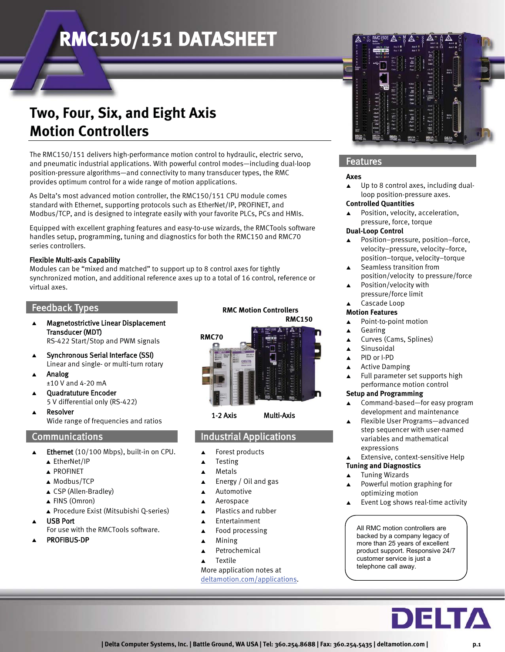## **Two, Four, Six, and Eight Axis Motion Controllers**

The RMC150/151 delivers high-performance motion control to hydraulic, electric servo, and pneumatic industrial applications. With powerful control modes—including dual-loop position-pressure algorithms—and connectivity to many transducer types, the RMC provides optimum control for a wide range of motion applications.

As Delta's most advanced motion controller, the RMC150/151 CPU module comes standard with Ethernet, supporting protocols such as EtherNet/IP, PROFINET, and Modbus/TCP, and is designed to integrate easily with your favorite PLCs, PCs and HMIs.

Equipped with excellent graphing features and easy-to-use wizards, the RMCTools software handles setup, programming, tuning and diagnostics for both the RMC150 and RMC70 series controllers.

#### Flexible Multi-axis Capability

Modules can be "mixed and matched" to support up to 8 control axes for tightly synchronized motion, and additional reference axes up to a total of 16 control, reference or virtual axes.

### Feedback Types

- $\blacktriangle$  Magnetostrictive Linear Displacement Transducer (MDT) RS-422 Start/Stop and PWM signals
- $\blacktriangle$  Synchronous Serial Interface (SSI) Linear and single- or multi-turn rotary
- $\blacktriangle$  Analog ±10 V and 4-20 mA
- $\blacktriangle$  Quadratuture Encoder 5 V differential only (RS-422)
- $\blacktriangle$  Resolver Wide range of frequencies and ratios

### Communications

- $\blacktriangle$  Ethernet (10/100 Mbps), built-in on CPU.
	- ▲ EtherNet/IP
	- ▲ PROFINET
	- ▲ Modbus/TCP
	- ▲ CSP (Allen-Bradley)
	- ▲ FINS (Omron)
	- Procedure Exist (Mitsubishi Q-series)
- $\blacktriangle$  USB Port
	- For use with the RMCTools software.
- $\blacktriangle$ PROFIBUS-DP

#### **RMC Motion Controllers RMC150**





## Industrial Applications

- $\blacktriangle$ Forest products
- $\blacktriangle$ Testing
- $\blacktriangle$ Metals
- $\blacktriangle$ Energy / Oil and gas
- $\blacktriangle$ Automotive
- $\blacktriangle$ Aerospace
- $\blacktriangle$ Plastics and rubber
- $\blacktriangle$ Entertainment
- $\blacktriangle$ Food processing
- $\blacktriangle$ Mining
- $\blacktriangle$ Petrochemical
- $\blacktriangle$ Textile

More application notes at deltamotion.com/applications.



### Features

#### **Axes**

 $\blacktriangle$  Up to 8 control axes, including dualloop position-pressure axes.

#### **Controlled Quantities**

 $\blacktriangle$  Position, velocity, acceleration, pressure, force, torque

#### **Dual-Loop Control**

- $\blacktriangle$  Position–pressure, position–force, velocity–pressure, velocity–force, position–torque, velocity–torque
- $\blacktriangle$  Seamless transition from position/velocity to pressure/force
- $\blacktriangle$  Position/velocity with pressure/force limit
- $\blacktriangle$ Cascade Loop

## **Motion Features**

- $\blacktriangle$ Point-to-point motion
- $\blacktriangle$ Gearing
- $\blacktriangle$ Curves (Cams, Splines)
- $\blacktriangle$ Sinusoidal
- $\blacktriangle$ PID or I-PD
- $\blacktriangle$ Active Damping
- $\blacktriangle$  Full parameter set supports high performance motion control

#### **Setup and Programming**

- $\blacktriangle$  Command-based—for easy program development and maintenance
- $\blacktriangle$  Flexible User Programs—advanced step sequencer with user-named variables and mathematical expressions
- $\blacktriangle$ Extensive, context-sensitive Help

#### **Tuning and Diagnostics**

- $\blacktriangle$ Tuning Wizards
- $\blacktriangle$  Powerful motion graphing for optimizing motion
- $\blacktriangle$ Event Log shows real-time activity

All RMC motion controllers are backed by a company legacy of more than 25 years of excellent product support. Responsive 24/7 customer service is just a telephone call away.

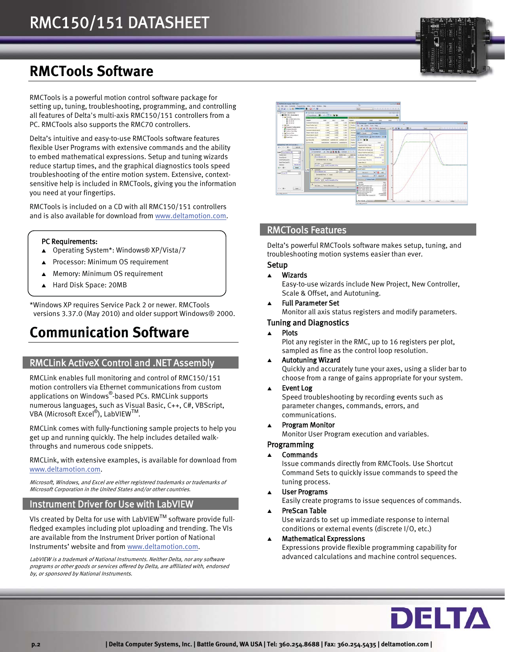## **RMCTools Software**

RMCTools is a powerful motion control software package for setting up, tuning, troubleshooting, programming, and controlling all features of Delta's multi-axis RMC150/151 controllers from a PC. RMCTools also supports the RMC70 controllers.

Delta's intuitive and easy-to-use RMCTools software features flexible User Programs with extensive commands and the ability to embed mathematical expressions. Setup and tuning wizards reduce startup times, and the graphical diagnostics tools speed troubleshooting of the entire motion system. Extensive, contextsensitive help is included in RMCTools, giving you the information you need at your fingertips.

RMCTools is included on a CD with all RMC150/151 controllers and is also available for download from www.deltamotion.com.

#### PC Requirements:

- Operating System\*: Windows® XP/Vista/7
- $\blacktriangle$ Processor: Minimum OS requirement
- $\blacktriangle$ Memory: Minimum OS requirement
- $\blacktriangle$ Hard Disk Space: 20MB

\*Windows XP requires Service Pack 2 or newer. RMCTools versions 3.37.0 (May 2010) and older support Windows® 2000.

## **Communication Software**

## RMCLink ActiveX Control and .NET Assembly

RMCLink enables full monitoring and control of RMC150/151 motion controllers via Ethernet communications from custom applications on Windows® -based PCs. RMCLink supports numerous languages, such as Visual Basic, C++, C#, VBScript, VBA (Microsoft Excel®), LabVIEW™.

RMCLink comes with fully-functioning sample projects to help you get up and running quickly. The help includes detailed walkthroughs and numerous code snippets.

RMCLink, with extensive examples, is available for download from www.deltamotion.com.

Microsoft, Windows, and Excel are either registered trademarks or trademarks of Microsoft Corporation in the United States and/or other countries.

## Instrument Driver for Use with LabVIEW

VIs created by Delta for use with LabVIEW<sup>TM</sup> software provide fullfledged examples including plot uploading and trending. The VIs are available from the Instrument Driver portion of National Instruments' website and from www.deltamotion.com.

LabVIEW is a trademark of National Instruments. Neither Delta, nor any software programs or other goods or services offered by Delta, are affiliated with, endorsed by, or sponsored by National Instruments.



## RMCTools Features

Delta's powerful RMCTools software makes setup, tuning, and troubleshooting motion systems easier than ever.

### Setup

#### $\blacktriangle$ Wizards

Easy-to-use wizards include New Project, New Controller, Scale & Offset, and Autotuning.

 $\blacktriangle$ Full Parameter Set

Monitor all axis status registers and modify parameters.

### Tuning and Diagnostics

 $\blacktriangle$ Plots

Plot any register in the RMC, up to 16 registers per plot, sampled as fine as the control loop resolution.

#### $\blacktriangle$ Autotuning Wizard

Quickly and accurately tune your axes, using a slider bar to choose from a range of gains appropriate for your system.

#### $\blacktriangle$ Event Log

Speed troubleshooting by recording events such as parameter changes, commands, errors, and communications.

 $\blacktriangle$ Program Monitor

Monitor User Program execution and variables.

#### Programming

 $\blacktriangle$ Commands

Issue commands directly from RMCTools. Use Shortcut Command Sets to quickly issue commands to speed the tuning process.

 $\blacktriangle$ User Programs

Easily create programs to issue sequences of commands.

 $\blacktriangle$ PreScan Table

> Use wizards to set up immediate response to internal conditions or external events (discrete I/O, etc.)

 $\blacktriangle$  Mathematical Expressions Expressions provide flexible programming capability for advanced calculations and machine control sequences.

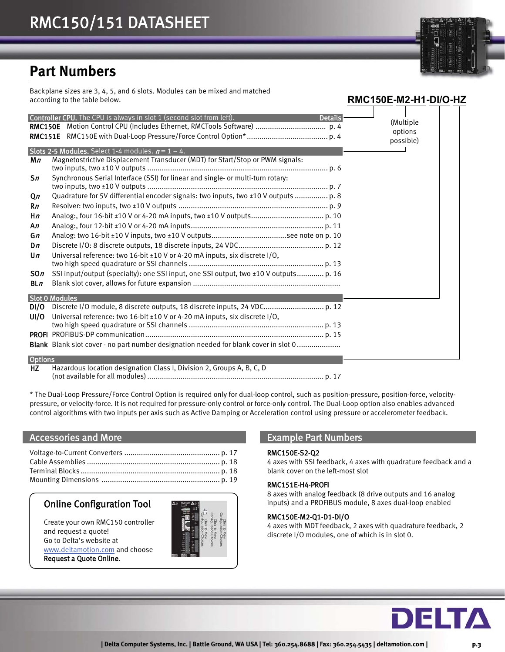## **Part Numbers**

Backplane sizes are 3, 4, 5, and 6 slots. Modules can be mixed and matched according to the table below.

| <b>RMC150E</b><br>Mn     | Controller CPU. The CPU is always in slot 1 (second slot from left).<br><b>Details</b><br>Slots 2-5 Modules. Select 1-4 modules. $n = 1 - 4$ .<br>Magnetostrictive Displacement Transducer (MDT) for Start/Stop or PWM signals: | (Multiple<br>options<br>possible) |
|--------------------------|---------------------------------------------------------------------------------------------------------------------------------------------------------------------------------------------------------------------------------|-----------------------------------|
| Sn                       | Synchronous Serial Interface (SSI) for linear and single- or multi-turn rotary:                                                                                                                                                 |                                   |
| Qn<br>Rn                 | Quadrature for 5V differential encoder signals: two inputs, two ±10 V outputs  p. 8                                                                                                                                             |                                   |
| Hn<br>An                 |                                                                                                                                                                                                                                 |                                   |
| Gn<br>Dn<br>$\mathsf{u}$ | Universal reference: two 16-bit ±10 V or 4-20 mA inputs, six discrete I/O,                                                                                                                                                      |                                   |
| SOn                      | SSI input/output (specialty): one SSI input, one SSI output, two ±10 V outputs p. 16                                                                                                                                            |                                   |
| BLn                      |                                                                                                                                                                                                                                 |                                   |
| DI/O<br>UI/O             | <b>Slot 0 Modules</b><br>Discrete I/O module, 8 discrete outputs, 18 discrete inputs, 24 VDC p. 12<br>Universal reference: two 16-bit ±10 V or 4-20 mA inputs, six discrete I/O,                                                |                                   |
|                          | Blank Blank slot cover - no part number designation needed for blank cover in slot 0                                                                                                                                            |                                   |
| <b>Options</b>           | $\mathcal{A}$ . The set of the set of the contract $\mathbf{A}$ is the set of $\mathbf{A}$ in $\mathbf{A}$ in $\mathbf{A}$ in $\mathbf{A}$                                                                                      |                                   |

HZ Hazardous location designation Class I, Division 2, Groups A, B, C, D

(not available for all modules) ..................................................................................... p. 17

\* The Dual-Loop Pressure/Force Control Option is required only for dual-loop control, such as position-pressure, position-force, velocitypressure, or velocity-force. It is not required for pressure-only control or force-only control. The Dual-Loop option also enables advanced control algorithms with two inputs per axis such as Active Damping or Acceleration control using pressure or accelerometer feedback.

### Accessories and More

## Online Configuration Tool

Create your own RMC150 controller and request a quote! Go to Delta's website at www.deltamotion.com and choose Request a Quote Online.



### Example Part Numbers

#### RMC150E-S2-Q2

4 axes with SSI feedback, 4 axes with quadrature feedback and a blank cover on the left-most slot

#### RMC151E-H4-PROFI

8 axes with analog feedback (8 drive outputs and 16 analog inputs) and a PROFIBUS module, 8 axes dual-loop enabled

#### RMC150E-M2-Q1-D1-DI/O

4 axes with MDT feedback, 2 axes with quadrature feedback, 2 discrete I/O modules, one of which is in slot 0.



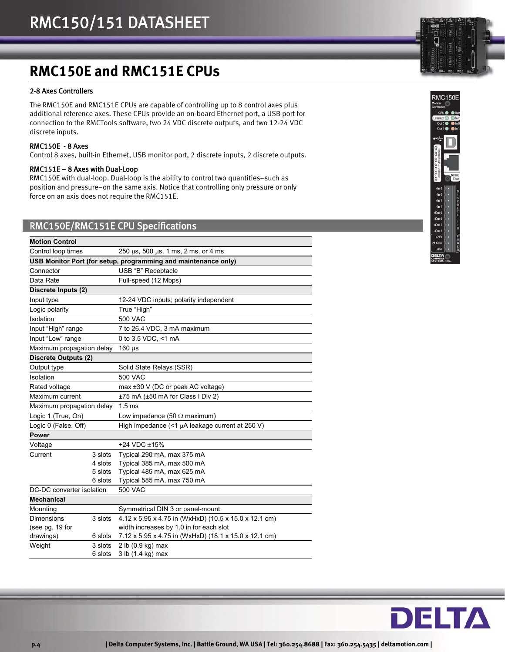## **RMC150E and RMC151E CPUs**

#### 2-8 Axes Controllers

The RMC150E and RMC151E CPUs are capable of controlling up to 8 control axes plus additional reference axes. These CPUs provide an on-board Ethernet port, a USB port for connection to the RMCTools software, two 24 VDC discrete outputs, and two 12-24 VDC discrete inputs.

#### RMC150E - 8 Axes

Control 8 axes, built-in Ethernet, USB monitor port, 2 discrete inputs, 2 discrete outputs.

#### RMC151E – 8 Axes with Dual-Loop

RMC150E with dual-loop. Dual-loop is the ability to control two quantities–such as position and pressure–on the same axis. Notice that controlling only pressure or only force on an axis does not require the RMC151E.

### RMC150E/RMC151E CPU Specifications

| <b>Motion Control</b>       |         |                                                                |  |  |
|-----------------------------|---------|----------------------------------------------------------------|--|--|
| Control loop times          |         | 250 $\mu$ s, 500 $\mu$ s, 1 ms, 2 ms, or 4 ms                  |  |  |
|                             |         | USB Monitor Port (for setup, programming and maintenance only) |  |  |
| Connector                   |         | USB "B" Receptacle                                             |  |  |
| Data Rate                   |         | Full-speed (12 Mbps)                                           |  |  |
| Discrete Inputs (2)         |         |                                                                |  |  |
| Input type                  |         | 12-24 VDC inputs; polarity independent                         |  |  |
| Logic polarity              |         | True "High"                                                    |  |  |
| Isolation                   |         | <b>500 VAC</b>                                                 |  |  |
| Input "High" range          |         | 7 to 26.4 VDC, 3 mA maximum                                    |  |  |
| Input "Low" range           |         | 0 to 3.5 VDC, <1 mA                                            |  |  |
| Maximum propagation delay   |         | $160 \,\mathrm{\mu s}$                                         |  |  |
| <b>Discrete Outputs (2)</b> |         |                                                                |  |  |
| Output type                 |         | Solid State Relays (SSR)                                       |  |  |
| Isolation                   |         | 500 VAC                                                        |  |  |
| Rated voltage               |         | max ±30 V (DC or peak AC voltage)                              |  |  |
| Maximum current             |         | ±75 mA (±50 mA for Class I Div 2)                              |  |  |
| Maximum propagation delay   |         | 1.5 <sub>ms</sub>                                              |  |  |
| Logic 1 (True, On)          |         | Low impedance (50 $\Omega$ maximum)                            |  |  |
| Logic 0 (False, Off)        |         | High impedance $($ < 1 $\mu$ A leakage current at 250 V)       |  |  |
| <b>Power</b>                |         |                                                                |  |  |
| Voltage                     |         | +24 VDC $\pm$ 15%                                              |  |  |
| Current                     | 3 slots | Typical 290 mA, max 375 mA                                     |  |  |
|                             | 4 slots | Typical 385 mA, max 500 mA                                     |  |  |
|                             | 5 slots | Typical 485 mA, max 625 mA                                     |  |  |
|                             | 6 slots | Typical 585 mA, max 750 mA                                     |  |  |
| DC-DC converter isolation   |         | 500 VAC                                                        |  |  |
| <b>Mechanical</b>           |         |                                                                |  |  |
| Mounting                    |         | Symmetrical DIN 3 or panel-mount                               |  |  |
| Dimensions<br>3 slots       |         | 4.12 x 5.95 x 4.75 in (WxHxD) (10.5 x 15.0 x 12.1 cm)          |  |  |
| (see pg. 19 for             |         | width increases by 1.0 in for each slot                        |  |  |
| drawings)                   | 6 slots | 7.12 x 5.95 x 4.75 in (WxHxD) (18.1 x 15.0 x 12.1 cm)          |  |  |
| Weight                      | 3 slots | 2 lb (0.9 kg) max                                              |  |  |
|                             | 6 slots | 3 lb (1.4 kg) max                                              |  |  |



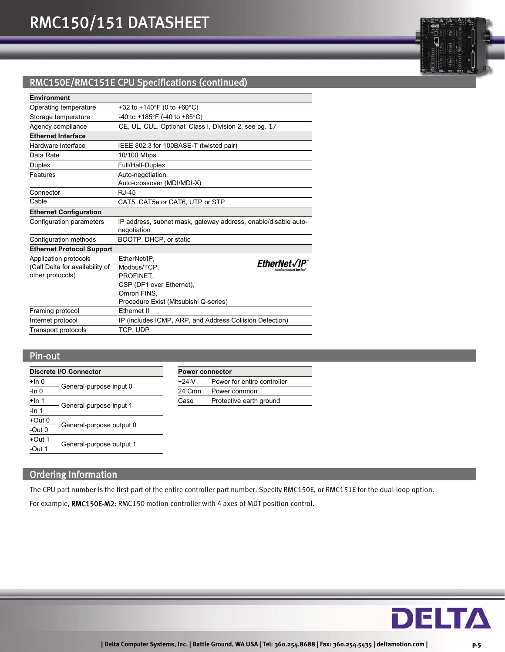## RMC150E/RMC151E CPU Specifications (continued)

| <b>Environment</b>                                                           |                                                                                                                              |                 |
|------------------------------------------------------------------------------|------------------------------------------------------------------------------------------------------------------------------|-----------------|
| Operating temperature                                                        | +32 to +140°F (0 to +60°C)                                                                                                   |                 |
| Storage temperature                                                          | -40 to +185°F (-40 to +85°C)                                                                                                 |                 |
| Agency compliance                                                            | CE, UL, CUL. Optional: Class I, Division 2, see pg. 17                                                                       |                 |
| <b>Ethernet Interface</b>                                                    |                                                                                                                              |                 |
| Hardware interface                                                           | IEEE 802.3 for 100BASE-T (twisted pair)                                                                                      |                 |
| Data Rate                                                                    | 10/100 Mbps                                                                                                                  |                 |
| Duplex                                                                       | Full/Half-Duplex                                                                                                             |                 |
| Features                                                                     | Auto-negotiation,<br>Auto-crossover (MDI/MDI-X)                                                                              |                 |
| Connector                                                                    | R.I-45                                                                                                                       |                 |
| Cable                                                                        | CAT5, CAT5e or CAT6, UTP or STP                                                                                              |                 |
| <b>Ethernet Configuration</b>                                                |                                                                                                                              |                 |
| Configuration parameters                                                     | IP address, subnet mask, gateway address, enable/disable auto-<br>negotiation                                                |                 |
| Configuration methods                                                        | BOOTP, DHCP, or static                                                                                                       |                 |
| <b>Ethernet Protocol Support</b>                                             |                                                                                                                              |                 |
| Application protocols<br>(Call Delta for availability of<br>other protocols) | EtherNet/IP.<br>Modbus/TCP.<br>PROFINET.<br>CSP (DF1 over Ethernet),<br>Omron FINS.<br>Procedure Exist (Mitsubishi Q-series) | <b>EtherNet</b> |
| Framing protocol                                                             | Ethernet II                                                                                                                  |                 |
| Internet protocol                                                            | IP (includes ICMP, ARP, and Address Collision Detection)                                                                     |                 |
| <b>Transport protocols</b>                                                   | TCP, UDP                                                                                                                     |                 |

## Pin-out

| <b>Discrete I/O Connector</b> |                          | <b>Power connector</b> |                             |  |
|-------------------------------|--------------------------|------------------------|-----------------------------|--|
| $+$ In 0                      |                          | $+24V$                 | Power for entire controller |  |
| $-In 0$                       | General-purpose input 0  | 24 Cmn                 | Power common                |  |
| $+$ In 1                      |                          | Case                   | Protective earth ground     |  |
| $-$ In 1                      | General-purpose input 1  |                        |                             |  |
| $+Out0$                       | General-purpose output 0 |                        |                             |  |
| -Out $0$                      |                          |                        |                             |  |
| $+Out 1$                      | General-purpose output 1 |                        |                             |  |
| -Out $1$                      |                          |                        |                             |  |

## Ordering Information

The CPU part number is the first part of the entire controller part number. Specify RMC150E, or RMC151E for the dual-loop option.

For example, RMC150E-M2: RMC150 motion controller with 4 axes of MDT position control.

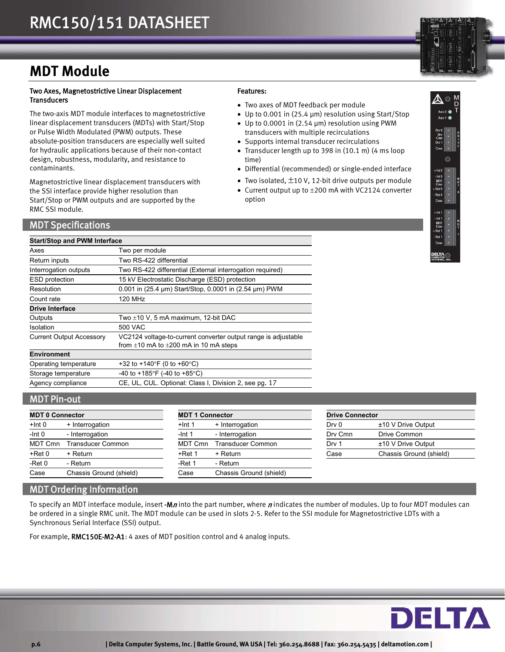## **MDT Module**

#### Two Axes, Magnetostrictive Linear Displacement **Transducers**

The two-axis MDT module interfaces to magnetostrictive linear displacement transducers (MDTs) with Start/Stop or Pulse Width Modulated (PWM) outputs. These absolute-position transducers are especially well suited for hydraulic applications because of their non-contact design, robustness, modularity, and resistance to contaminants.

Magnetostrictive linear displacement transducers with the SSI interface provide higher resolution than Start/Stop or PWM outputs and are supported by the RMC SSI module.

## MDT Specifications

## Features:

- Two axes of MDT feedback per module
- Up to 0.001 in (25.4  $\mu$ m) resolution using Start/Stop Up to 0.0001 in (2.54 μm) resolution using PWM transducers with multiple recirculations
- Supports internal transducer recirculations
- Transducer length up to 398 in (10.1 m) (4 ms loop time)
- Differential (recommended) or single-ended interface
- Two isolated,  $\pm$ 10 V, 12-bit drive outputs per module
- Current output up to  $\pm 200$  mA with VC2124 converter option



| <b>Start/Stop and PWM Interface</b> |                                                                                                                   |  |  |  |
|-------------------------------------|-------------------------------------------------------------------------------------------------------------------|--|--|--|
| Axes                                | Two per module                                                                                                    |  |  |  |
| Return inputs                       | Two RS-422 differential                                                                                           |  |  |  |
| Interrogation outputs               | Two RS-422 differential (External interrogation required)                                                         |  |  |  |
| <b>ESD</b> protection               | 15 kV Electrostatic Discharge (ESD) protection                                                                    |  |  |  |
| Resolution                          | 0.001 in (25.4 µm) Start/Stop, 0.0001 in (2.54 µm) PWM                                                            |  |  |  |
| Count rate                          | 120 MHz                                                                                                           |  |  |  |
| <b>Drive Interface</b>              |                                                                                                                   |  |  |  |
| Outputs                             | Two $\pm$ 10 V, 5 mA maximum, 12-bit DAC                                                                          |  |  |  |
| Isolation                           | 500 VAC                                                                                                           |  |  |  |
| <b>Current Output Accessory</b>     | VC2124 voltage-to-current converter output range is adjustable<br>from $\pm 10$ mA to $\pm 200$ mA in 10 mA steps |  |  |  |
| <b>Environment</b>                  |                                                                                                                   |  |  |  |
| Operating temperature               | +32 to +140°F (0 to +60°C)                                                                                        |  |  |  |
| Storage temperature                 | -40 to +185°F (-40 to +85°C)                                                                                      |  |  |  |
| Agency compliance                   | CE, UL, CUL. Optional: Class I, Division 2, see pg. 17                                                            |  |  |  |

## MDT Pin-out

| <b>MDT 0 Connector</b> |                          | <b>MDT 1 Connector</b> |                          | <b>Drive Connector</b> |                         |
|------------------------|--------------------------|------------------------|--------------------------|------------------------|-------------------------|
| +Int 0                 | + Interrogation          | $+$ Int 1              | + Interrogation          | Dry 0                  | ±10 V Drive Output      |
| $-Int0$                | - Interrogation          | $-Int 1$               | - Interrogation          | Dry Cmn                | Drive Common            |
| MDT Cmn                | <b>Transducer Common</b> | MDT Cmn                | <b>Transducer Common</b> | Drv 1                  | ±10 V Drive Output      |
| +Ret 0                 | + Return                 | $+$ Ret 1              | + Return                 | Case                   | Chassis Ground (shield) |
| - $Ret0$               | - Return                 | -Ret 1                 | - Return                 |                        |                         |
| Case                   | Chassis Ground (shield)  | Case                   | Chassis Ground (shield)  |                        |                         |

| <b>Drive Connector</b> |                         |  |  |  |
|------------------------|-------------------------|--|--|--|
| Drv 0                  | $±10$ V Drive Output    |  |  |  |
| Dry Cmn                | Drive Common            |  |  |  |
| Drv 1                  | $±10$ V Drive Output    |  |  |  |
| Case                   | Chassis Ground (shield) |  |  |  |

## MDT Ordering Information

To specify an MDT interface module, insert -Mn into the part number, where n indicates the number of modules. Up to four MDT modules can be ordered in a single RMC unit. The MDT module can be used in slots 2-5. Refer to the SSI module for Magnetostrictive LDTs with a Synchronous Serial Interface (SSI) output.

For example, RMC150E-M2-A1: 4 axes of MDT position control and 4 analog inputs.

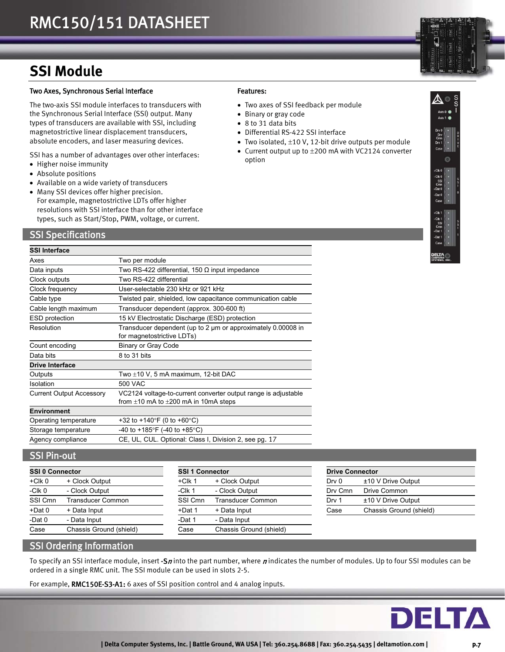## **SSI Module**

#### Two Axes, Synchronous Serial Interface

The two-axis SSI module interfaces to transducers with the Synchronous Serial Interface (SSI) output. Many types of transducers are available with SSI, including magnetostrictive linear displacement transducers, absolute encoders, and laser measuring devices.

SSI has a number of advantages over other interfaces:

- Higher noise immunity
- Absolute positions
- Available on a wide variety of transducers
- Many SSI devices offer higher precision. For example, magnetostrictive LDTs offer higher resolutions with SSI interface than for other interface types, such as Start/Stop, PWM, voltage, or current.

### SSI Specifications

## Features:

- Two axes of SSI feedback per module
- Binary or gray code
- 8 to 31 data bits
- Differential RS-422 SSI interface
- Two isolated,  $\pm 10$  V, 12-bit drive outputs per module
- Current output up to  $\pm 200$  mA with VC2124 converter option



| <b>SSI Interface</b>            |                                                                                                                  |  |  |  |
|---------------------------------|------------------------------------------------------------------------------------------------------------------|--|--|--|
| Axes                            | Two per module                                                                                                   |  |  |  |
| Data inputs                     | Two RS-422 differential, 150 $\Omega$ input impedance                                                            |  |  |  |
| Clock outputs                   | Two RS-422 differential                                                                                          |  |  |  |
| Clock frequency                 | User-selectable 230 kHz or 921 kHz                                                                               |  |  |  |
| Cable type                      | Twisted pair, shielded, low capacitance communication cable                                                      |  |  |  |
| Cable length maximum            | Transducer dependent (approx. 300-600 ft)                                                                        |  |  |  |
| ESD protection                  | 15 kV Electrostatic Discharge (ESD) protection                                                                   |  |  |  |
| Resolution                      | Transducer dependent (up to 2 um or approximately 0.00008 in<br>for magnetostrictive LDTs)                       |  |  |  |
| Count encoding                  | <b>Binary or Gray Code</b>                                                                                       |  |  |  |
| Data bits                       | 8 to 31 bits                                                                                                     |  |  |  |
| <b>Drive Interface</b>          |                                                                                                                  |  |  |  |
| Outputs                         | Two $\pm$ 10 V, 5 mA maximum, 12-bit DAC                                                                         |  |  |  |
| Isolation                       | 500 VAC                                                                                                          |  |  |  |
| <b>Current Output Accessory</b> | VC2124 voltage-to-current converter output range is adjustable<br>from $\pm 10$ mA to $\pm 200$ mA in 10mA steps |  |  |  |
| <b>Environment</b>              |                                                                                                                  |  |  |  |
| Operating temperature           | +32 to +140°F (0 to +60°C)                                                                                       |  |  |  |
| Storage temperature             | -40 to +185°F (-40 to +85°C)                                                                                     |  |  |  |
| Agency compliance               | CE, UL, CUL. Optional: Class I, Division 2, see pg. 17                                                           |  |  |  |

### SSI Pin-out

| <b>SSI 0 Connector</b> |                         | <b>SSI 1 Connector</b> |                          |
|------------------------|-------------------------|------------------------|--------------------------|
| $+C$ lk 0              | + Clock Output          | $+C$ lk 1              | + Clock Output           |
| $-CIk$ <sub>0</sub>    | - Clock Output          | $-CIk1$                | - Clock Output           |
| SSI Cmn                | Transducer Common       | SSI Cmn                | <b>Transducer Common</b> |
| $+$ Dat 0              | + Data Input            | +Dat 1                 | + Data Input             |
| $-Dat0$                | - Data Input            | -Dat 1                 | - Data Input             |
| Case                   | Chassis Ground (shield) | Case                   | Chassis Ground (shield)  |

| SSI 0 Connector |                         |           | <b>SSI 1 Connector</b>   |         | <b>Drive Connector</b>  |  |
|-----------------|-------------------------|-----------|--------------------------|---------|-------------------------|--|
| +Clk 0          | + Clock Output          | $+C$ lk 1 | + Clock Output           | Drv 0   | ±10 V Drive Output      |  |
| -Clk 0          | - Clock Output          | $-C$ lk 1 | - Clock Output           | Dry Cmn | Drive Common            |  |
| SSI Cmn         | Transducer Common       | SSI Cmn   | <b>Transducer Common</b> | Drv 1   | ±10 V Drive Output      |  |
| +Dat 0          | + Data Input            | +Dat 1    | + Data Input             | Case    | Chassis Ground (shield) |  |
| -Dat 0          | - Data Input            | -Dat 1    | - Data Input             |         |                         |  |
| Case            | Chassis Ground (shield) | Case      | Chassis Ground (shield)  |         |                         |  |
|                 |                         |           |                          |         |                         |  |

|         | <b>Drive Connector</b>  |  |  |  |
|---------|-------------------------|--|--|--|
| Drv 0   | ±10 V Drive Output      |  |  |  |
| Dry Cmn | Drive Common            |  |  |  |
| Drv 1   | ±10 V Drive Output      |  |  |  |
| Case    | Chassis Ground (shield) |  |  |  |

## SSI Ordering Information

To specify an SSI interface module, insert -Sn into the part number, where n indicates the number of modules. Up to four SSI modules can be ordered in a single RMC unit. The SSI module can be used in slots 2-5.

For example, RMC150E-S3-A1: 6 axes of SSI position control and 4 analog inputs.

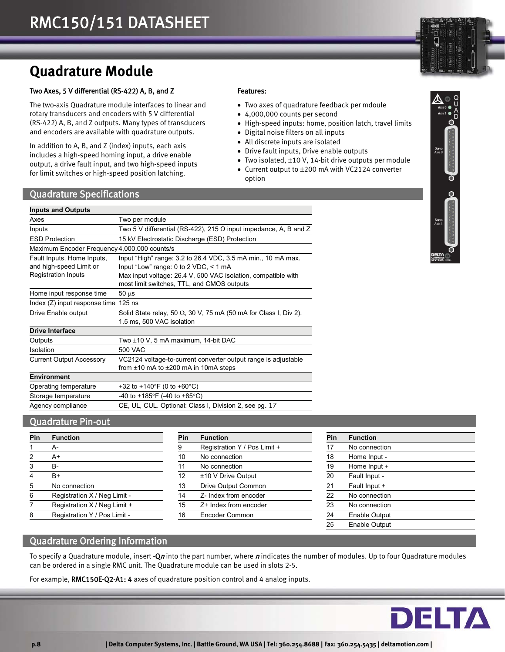## **Quadrature Module**

### Two Axes, 5 V differential (RS-422) A, B, and Z

The two-axis Quadrature module interfaces to linear and rotary transducers and encoders with 5 V differential (RS-422) A, B, and Z outputs. Many types of transducers and encoders are available with quadrature outputs.

In addition to A, B, and Z (index) inputs, each axis includes a high-speed homing input, a drive enable output, a drive fault input, and two high-speed inputs for limit switches or high-speed position latching.

### Features:

- Two axes of quadrature feedback per mdoule
- 4,000,000 counts per second
- High-speed inputs: home, position latch, travel limits
- Digital noise filters on all inputs
- All discrete inputs are isolated
- Drive fault inputs, Drive enable outputs
- Two isolated,  $\pm 10$  V, 14-bit drive outputs per module • Current output to  $\pm 200$  mA with VC2124 converter
- option

### Quadrature Specifications

| <b>Inputs and Outputs</b>                                                           |                                                                                                                                                                                                                               |
|-------------------------------------------------------------------------------------|-------------------------------------------------------------------------------------------------------------------------------------------------------------------------------------------------------------------------------|
| Axes                                                                                | Two per module                                                                                                                                                                                                                |
| Inputs                                                                              | Two 5 V differential (RS-422), 215 $\Omega$ input impedance, A, B and Z                                                                                                                                                       |
| <b>ESD Protection</b>                                                               | 15 kV Electrostatic Discharge (ESD) Protection                                                                                                                                                                                |
| Maximum Encoder Frequency 4,000,000 counts/s                                        |                                                                                                                                                                                                                               |
| Fault Inputs, Home Inputs,<br>and high-speed Limit or<br><b>Registration Inputs</b> | Input "High" range: 3.2 to 26.4 VDC, 3.5 mA min., 10 mA max.<br>Input "Low" range: $0$ to $2$ VDC, $\leq 1$ mA<br>Max input voltage: 26.4 V, 500 VAC isolation, compatible with<br>most limit switches, TTL, and CMOS outputs |
| Home input response time                                                            | $50 \mu s$                                                                                                                                                                                                                    |
| Index (Z) input response time 125 ns                                                |                                                                                                                                                                                                                               |
| Drive Enable output                                                                 | Solid State relay, 50 $\Omega$ , 30 V, 75 mA (50 mA for Class I, Div 2),<br>1.5 ms, 500 VAC isolation                                                                                                                         |
| <b>Drive Interface</b>                                                              |                                                                                                                                                                                                                               |
| Outputs                                                                             | Two ±10 V, 5 mA maximum, 14-bit DAC                                                                                                                                                                                           |
| Isolation                                                                           | 500 VAC                                                                                                                                                                                                                       |
| <b>Current Output Accessory</b>                                                     | VC2124 voltage-to-current converter output range is adjustable<br>from $\pm 10$ mA to $\pm 200$ mA in 10mA steps                                                                                                              |
| <b>Environment</b>                                                                  |                                                                                                                                                                                                                               |
| Operating temperature                                                               | +32 to +140°F (0 to +60°C)                                                                                                                                                                                                    |
| Storage temperature                                                                 | -40 to +185°F (-40 to +85°C)                                                                                                                                                                                                  |
| Agency compliance                                                                   | CE, UL, CUL. Optional: Class I, Division 2, see pg. 17                                                                                                                                                                        |

## Quadrature Pin-out

| Pin | <b>Function</b>              | Pin | <b>Function</b>              | Pin | <b>Function</b> |
|-----|------------------------------|-----|------------------------------|-----|-----------------|
|     | А-                           | 9   | Registration Y / Pos Limit + |     | No connection   |
| 2   | A+                           | 10  | No connection                | 18  | Home Input -    |
| 3   | B-                           | 11  | No connection                | 19  | Home Input +    |
| 4   | B+                           | 12  | ±10 V Drive Output           | 20  | Fault Input -   |
| 5   | No connection                | 13  | <b>Drive Output Common</b>   | 21  | Fault Input +   |
| 6   | Registration X / Neg Limit - | 14  | Z- Index from encoder        | 22  | No connection   |
| 7   | Registration X / Neg Limit + | 15  | Z+ Index from encoder        | 23  | No connection   |
| 8   | Registration Y / Pos Limit - | 16  | Encoder Common               | 24  | Enable Output   |

| Pin            | <b>Function</b>              | <b>Pin</b> | <b>Function</b>              | Pin | <b>Function</b> |
|----------------|------------------------------|------------|------------------------------|-----|-----------------|
|                | A-                           | 9          | Registration Y / Pos Limit + | 17  | No connection   |
| $\overline{2}$ | A+                           | 10         | No connection                | 18  | Home Input -    |
| 3              | <b>B-</b>                    | 11         | No connection                | 19  | Home Input +    |
| 4              | $B+$                         | 12         | ±10 V Drive Output           | 20  | Fault Input -   |
| 5              | No connection                | 13         | Drive Output Common          | 21  | Fault Input +   |
| 6              | Registration X / Neg Limit - | 14         | Z- Index from encoder        | 22  | No connection   |
|                | Registration X / Neg Limit + | 15         | Z+ Index from encoder        | 23  | No connection   |
| 8              | Registration Y / Pos Limit - | 16         | Encoder Common               | 24  | Enable Output   |
|                |                              |            |                              | つに  | Enohlo          |

| Pin | <b>Function</b>              | Pin | <b>Function</b>              | <b>Pin</b> | <b>Function</b> |
|-----|------------------------------|-----|------------------------------|------------|-----------------|
|     | A-                           | 9   | Registration Y / Pos Limit + | 17         | No connection   |
|     | A+                           | 10  | No connection                | 18         | Home Input -    |
|     | B-                           | 11  | No connection                | 19         | Home Input +    |
|     | B+                           | 12  | ±10 V Drive Output           | 20         | Fault Input -   |
|     | No connection                | 13  | Drive Output Common          | 21         | Fault Input +   |
|     | Registration X / Neg Limit - | 14  | Z- Index from encoder        | 22         | No connection   |
|     | Registration X / Neg Limit + | 15  | Z+ Index from encoder        | 23         | No connection   |
| 8.  | Registration Y / Pos Limit - | 16  | Encoder Common               | 24         | Enable Output   |
|     |                              |     |                              | 25         | Enable Output   |
|     |                              |     |                              |            |                 |

### Quadrature Ordering Information

To specify a Quadrature module, insert -Qn into the part number, where n indicates the number of modules. Up to four Quadrature modules can be ordered in a single RMC unit. The Quadrature module can be used in slots 2-5.

For example, RMC150E-Q2-A1: 4 axes of quadrature position control and 4 analog inputs.

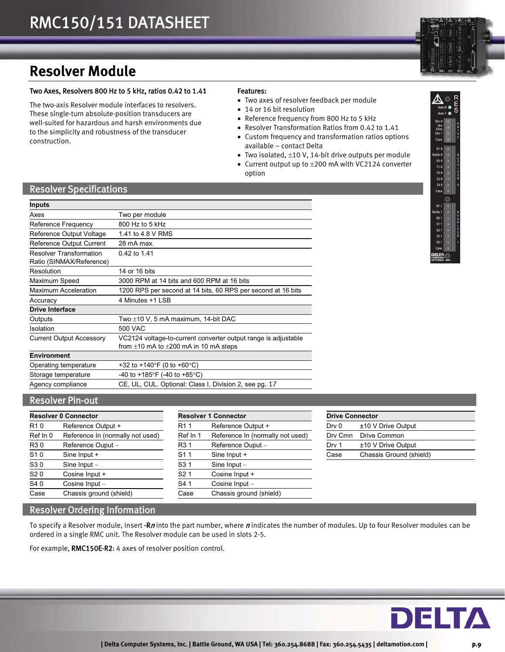

R3 S1 0 S3 0<br>S2 0 s4 (

R<sub>3</sub> S1

## **Resolver Module**

#### Two Axes, Resolvers 800 Hz to 5 kHz, ratios 0.42 to 1.41

The two-axis Resolver module interfaces to resolvers. These single-turn absolute-position transducers are well-suited for hazardous and harsh environments due to the simplicity and robustness of the transducer construction.

#### Features:

- Two axes of resolver feedback per module
- 14 or 16 bit resolution
- Reference frequency from 800 Hz to 5 kHz
- Resolver Transformation Ratios from 0.42 to 1.41
- Custom frequency and transformation ratios options available – contact Delta
- Two isolated,  $\pm 10$  V, 14-bit drive outputs per module
- Current output up to  $\pm 200$  mA with VC2124 converter option

## Resolver Specifications

| <b>Inputs</b>                                              |                                                                                                                   |
|------------------------------------------------------------|-------------------------------------------------------------------------------------------------------------------|
| Axes                                                       | Two per module                                                                                                    |
| Reference Frequency                                        | 800 Hz to 5 kHz                                                                                                   |
| Reference Output Voltage                                   | 1.41 to 4.8 V RMS                                                                                                 |
| Reference Output Current                                   | 28 mA max.                                                                                                        |
| <b>Resolver Transformation</b><br>Ratio (SINMAX/Reference) | 0.42 to 1.41                                                                                                      |
| Resolution                                                 | 14 or 16 bits                                                                                                     |
| Maximum Speed                                              | 3000 RPM at 14 bits and 600 RPM at 16 bits                                                                        |
| <b>Maximum Acceleration</b>                                | 1200 RPS per second at 14 bits, 60 RPS per second at 16 bits                                                      |
| Accuracy                                                   | 4 Minutes +1 I SB                                                                                                 |
| <b>Drive Interface</b>                                     |                                                                                                                   |
| Outputs                                                    | Two ±10 V, 5 mA maximum, 14-bit DAC                                                                               |
| Isolation                                                  | 500 VAC                                                                                                           |
| <b>Current Output Accessory</b>                            | VC2124 voltage-to-current converter output range is adjustable<br>from $\pm 10$ mA to $\pm 200$ mA in 10 mA steps |
| <b>Environment</b>                                         |                                                                                                                   |
| Operating temperature                                      | +32 to +140°F (0 to +60°C)                                                                                        |
| Storage temperature                                        | -40 to +185°F (-40 to +85°C)                                                                                      |
| Agency compliance                                          | CE, UL, CUL. Optional: Class I, Division 2, see pg. 17                                                            |

## Resolver Pin-out

| <b>Resolver 0 Connector</b> |                                  | <b>Resolver 1 Connector</b> |                                  | <b>Drive Connector</b> |                         |
|-----------------------------|----------------------------------|-----------------------------|----------------------------------|------------------------|-------------------------|
| R <sub>10</sub>             | Reference Output +               | R1<br>-1                    | Reference Output +               | Dry 0                  | ±10 V Drive Output      |
| Ref In 0                    | Reference In (normally not used) | Ref In 1                    | Reference In (normally not used) | Dry Cmn                | Drive Common            |
| R30                         | Reference Ouput -                | R <sub>3</sub> 1            | Reference Ouput -                | Drv 1                  | ±10 V Drive Output      |
| S10                         | Sine Input +                     | S <sub>1</sub> 1            | Sine Input +                     | Case                   | Chassis Ground (shield) |
| S30                         | Sine Input $-$                   | S <sub>3</sub> 1            | Sine $Input -$                   |                        |                         |
| S <sub>20</sub>             | Cosine Input +                   | S <sub>2</sub> 1            | Cosine Input +                   |                        |                         |
| S40                         | Cosine Input -                   | S41                         | Cosine Input -                   |                        |                         |
| Case                        | Chassis ground (shield)          | Case                        | Chassis ground (shield)          |                        |                         |

| <b>Drive Connector</b> |                         |  |  |
|------------------------|-------------------------|--|--|
| Drv 0                  | ±10 V Drive Output      |  |  |
|                        | Dry Cmn Drive Common    |  |  |
| Drv 1                  | ±10 V Drive Output      |  |  |
| Case                   | Chassis Ground (shield) |  |  |

## Resolver Ordering Information

To specify a Resolver module, insert -Rn into the part number, where n indicates the number of modules. Up to four Resolver modules can be ordered in a single RMC unit. The Resolver module can be used in slots 2-5.

For example, RMC150E-R2: 4 axes of resolver position control.

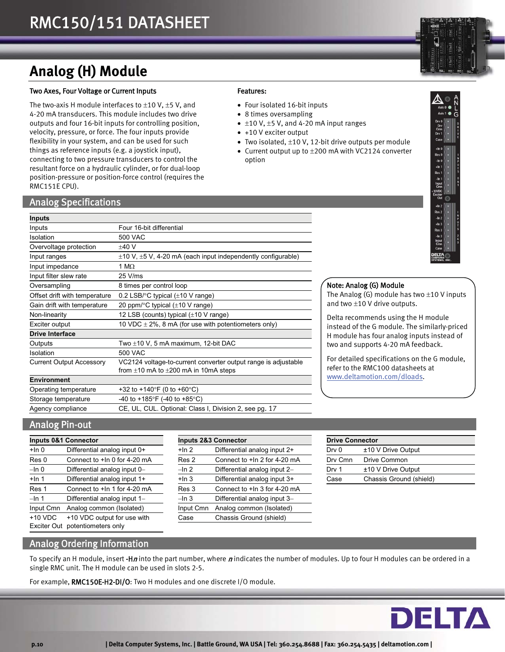## **Analog (H) Module**

#### Two Axes, Four Voltage or Current Inputs

The two-axis H module interfaces to  $\pm 10$  V,  $\pm 5$  V, and 4-20 mA transducers. This module includes two drive outputs and four 16-bit inputs for controlling position, velocity, pressure, or force. The four inputs provide flexibility in your system, and can be used for such things as reference inputs (e.g. a joystick input), connecting to two pressure transducers to control the resultant force on a hydraulic cylinder, or for dual-loop position-pressure or position-force control (requires the RMC151E CPU).

### Analog Specifications

| <b>Inputs</b>                   |                                                                        |
|---------------------------------|------------------------------------------------------------------------|
| Inputs                          | Four 16-bit differential                                               |
| Isolation                       | 500 VAC                                                                |
| Overvoltage protection          | $±40$ V                                                                |
| Input ranges                    | $\pm$ 10 V, $\pm$ 5 V, 4-20 mA (each input independently configurable) |
| Input impedance                 | 1 M $\Omega$                                                           |
| Input filter slew rate          | 25 V/ms                                                                |
| Oversampling                    | 8 times per control loop                                               |
| Offset drift with temperature   | 0.2 LSB/ $\degree$ C typical ( $\pm$ 10 V range)                       |
| Gain drift with temperature     | 20 ppm/ $\degree$ C typical ( $\pm$ 10 V range)                        |
| Non-linearity                   | 12 LSB (counts) typical $(\pm 10 \text{ V range})$                     |
| Exciter output                  | 10 VDC $\pm$ 2%, 8 mA (for use with potentiometers only)               |
| <b>Drive Interface</b>          |                                                                        |
| Outputs                         | Two $\pm$ 10 V, 5 mA maximum, 12-bit DAC                               |
| Isolation                       | 500 VAC                                                                |
| <b>Current Output Accessory</b> | VC2124 voltage-to-current converter output range is adjustable         |
|                                 | from $\pm 10$ mA to $\pm 200$ mA in 10mA steps                         |
| <b>Environment</b>              |                                                                        |
| Operating temperature           | +32 to +140°F (0 to +60°C)                                             |
| Storage temperature             | -40 to +185°F (-40 to +85°C)                                           |
| Agency compliance               | CE, UL, CUL. Optional: Class I, Division 2, see pg. 17                 |

### Features:

- Four isolated 16-bit inputs
- 8 times oversampling
- $\bullet$  ±10 V, ±5 V, and 4-20 mA input ranges
- +10 V exciter output
- Two isolated,  $\pm 10$  V, 12-bit drive outputs per module
- Current output up to  $\pm 200$  mA with VC2124 converter option



#### Note: Analog (G) Module

The Analog (G) module has two  $\pm 10$  V inputs and two  $\pm$ 10 V drive outputs.

Delta recommends using the H module instead of the G module. The similarly-priced H module has four analog inputs instead of two and supports 4-20 mA feedback.

For detailed specifications on the G module, refer to the RMC100 datasheets at www.deltamotion.com/dloads.

## Analog Pin-out

|           | <b>Inputs 0&amp;1 Connector</b> |           | <b>Inputs 2&amp;3 Connector</b> |
|-----------|---------------------------------|-----------|---------------------------------|
| $+$ In 0  | Differential analog input 0+    | $+ln 2$   | Differential analog input 2+    |
| Res 0     | Connect to +In 0 for 4-20 mA    | Res 2     | Connect to +In 2 for 4-20 mA    |
| $-\ln 0$  | Differential analog input 0-    | $-\ln 2$  | Differential analog input 2-    |
| $+$ In 1  | Differential analog input 1+    | $+$ In 3  | Differential analog input 3+    |
| Res 1     | Connect to +In 1 for 4-20 mA    | Res 3     | Connect to +In 3 for 4-20 mA    |
| $-\ln 1$  | Differential analog input 1-    | $-\ln 3$  | Differential analog input 3-    |
| Input Cmn | Analog common (Isolated)        | Input Cmn | Analog common (Isolated)        |
| $+10$ VDC | +10 VDC output for use with     | Case      | Chassis Ground (shield)         |
|           | Exciter Out potentiometers only |           |                                 |

| <b>Inputs 0&amp;1 Connector</b> |                              |           | <b>Inputs 2&amp;3 Connector</b> |         | <b>Drive Connector</b>  |  |
|---------------------------------|------------------------------|-----------|---------------------------------|---------|-------------------------|--|
| +In 0                           | Differential analog input 0+ | $+$ In 2  | Differential analog input 2+    | Drv 0   | ±10 V Drive Output      |  |
| Res 0                           | Connect to +In 0 for 4-20 mA | Res 2     | Connect to +In 2 for 4-20 mA    | Dry Cmn | Drive Common            |  |
| –In 0                           | Differential analog input 0- | $-\ln 2$  | Differential analog input 2-    | Drv 1   | ±10 V Drive Output      |  |
| $+$ In 1                        | Differential analog input 1+ | $+$ In 3  | Differential analog input 3+    | Case    | Chassis Ground (shield) |  |
| Res 1                           | Connect to +In 1 for 4-20 mA | Res 3     | Connect to +In 3 for 4-20 mA    |         |                         |  |
| –In 1                           | Differential analog input 1- | $-\ln 3$  | Differential analog input 3-    |         |                         |  |
| Input Cmn                       | Analog common (Isolated)     | Input Cmn | Analog common (Isolated)        |         |                         |  |
| +10 VDC                         | +10 VDC output for use with  | Case      | Chassis Ground (shield)         |         |                         |  |

| <b>Drive Connector</b> |                         |  |  |
|------------------------|-------------------------|--|--|
| Drv 0                  | $±10$ V Drive Output    |  |  |
| Dry Cmn                | Drive Common            |  |  |
| Drv 1                  | $±10$ V Drive Output    |  |  |
| Case                   | Chassis Ground (shield) |  |  |

## Analog Ordering Information

To specify an H module, insert -**Hn** into the part number, where n indicates the number of modules. Up to four H modules can be ordered in a single RMC unit. The H module can be used in slots 2-5.

For example, RMC150E-H2-DI/O: Two H modules and one discrete I/O module.

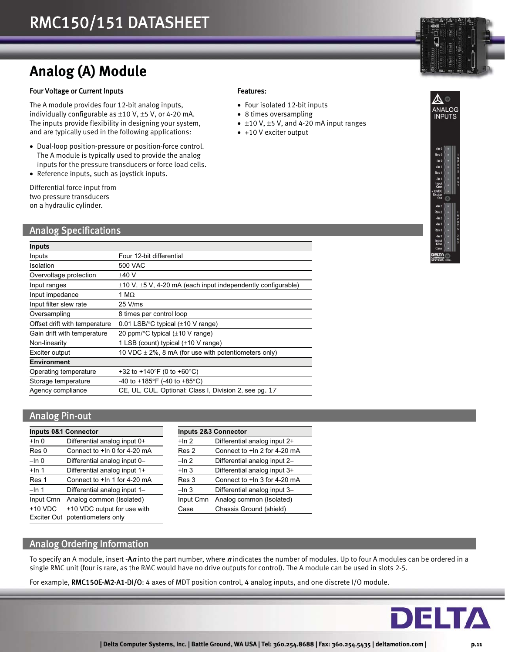## **Analog (A) Module**

#### Four Voltage or Current Inputs

The A module provides four 12-bit analog inputs, individually configurable as  $\pm 10$  V,  $\pm 5$  V, or 4-20 mA. The inputs provide flexibility in designing your system, and are typically used in the following applications:

- Dual-loop position-pressure or position-force control. The A module is typically used to provide the analog inputs for the pressure transducers or force load cells.
- Reference inputs, such as joystick inputs.

Differential force input from two pressure transducers on a hydraulic cylinder.

### Analog Specifications

| Inputs                        |                                                                        |
|-------------------------------|------------------------------------------------------------------------|
| Inputs                        | Four 12-bit differential                                               |
| Isolation                     | 500 VAC                                                                |
| Overvoltage protection        | $+40V$                                                                 |
| Input ranges                  | $\pm$ 10 V, $\pm$ 5 V, 4-20 mA (each input independently configurable) |
| Input impedance               | 1 M $\Omega$                                                           |
| Input filter slew rate        | 25 V/ms                                                                |
| Oversampling                  | 8 times per control loop                                               |
| Offset drift with temperature | 0.01 LSB/ $\degree$ C typical ( $\pm$ 10 V range)                      |
| Gain drift with temperature   | 20 ppm/ $\degree$ C typical ( $\pm$ 10 V range)                        |
| Non-linearity                 | 1 LSB (count) typical $(\pm 10 \text{ V range})$                       |
| Exciter output                | 10 VDC $\pm$ 2%, 8 mA (for use with potentiometers only)               |
| <b>Environment</b>            |                                                                        |
| Operating temperature         | +32 to +140°F (0 to +60°C)                                             |
| Storage temperature           | -40 to +185°F (-40 to +85°C)                                           |
| Agency compliance             | CE, UL, CUL. Optional: Class I, Division 2, see pg. 17                 |

## Analog Pin-out

|           | <b>Inputs 0&amp;1 Connector</b> |           | Inputs 2&3 Connector         |
|-----------|---------------------------------|-----------|------------------------------|
| $+$ In 0  | Differential analog input 0+    | $+$ In 2  | Differential analog input 2+ |
| Res 0     | Connect to +In 0 for 4-20 mA    | Res 2     | Connect to +In 2 for 4-20 mA |
| $-\ln 0$  | Differential analog input 0-    | $-\ln 2$  | Differential analog input 2- |
| $+$ In 1  | Differential analog input 1+    | $+$ In 3  | Differential analog input 3+ |
| Res 1     | Connect to +In 1 for 4-20 mA    | Res 3     | Connect to +In 3 for 4-20 mA |
| $-$ In 1  | Differential analog input 1-    | $-\ln 3$  | Differential analog input 3- |
| Input Cmn | Analog common (Isolated)        | Input Cmn | Analog common (Isolated)     |
| $+10$ VDC | +10 VDC output for use with     | Case      | Chassis Ground (shield)      |
|           | Exciter Out potentiometers only |           |                              |

|           | <b>Inputs 2&amp;3 Connector</b> |  |  |
|-----------|---------------------------------|--|--|
| $+$ In 2  | Differential analog input 2+    |  |  |
| Res 2     | Connect to +In 2 for 4-20 mA    |  |  |
| –In 2     | Differential analog input 2-    |  |  |
| $+$ In 3  | Differential analog input 3+    |  |  |
| Res 3     | Connect to +In 3 for 4-20 mA    |  |  |
| $-\ln 3$  | Differential analog input 3-    |  |  |
| Input Cmn | Analog common (Isolated)        |  |  |
| Case      | Chassis Ground (shield)         |  |  |

## Analog Ordering Information

To specify an A module, insert -An into the part number, where nindicates the number of modules. Up to four A modules can be ordered in a single RMC unit (four is rare, as the RMC would have no drive outputs for control). The A module can be used in slots 2-5.

For example, RMC150E-M2-A1-DI/O: 4 axes of MDT position control, 4 analog inputs, and one discrete I/O module.



 $\bullet$  ±10 V, ±5 V, and 4-20 mA input ranges

 Four isolated 12-bit inputs • 8 times oversampling

• +10 V exciter output

Features:



 $\sqrt{2}$ **NALOG INPUTS**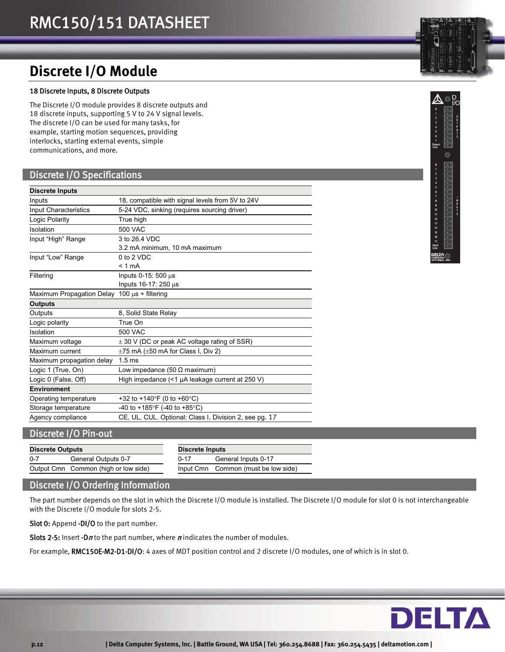## **Discrete I/O Module**

#### 18 Discrete Inputs, 8 Discrete Outputs

The Discrete I/O module provides 8 discrete outputs and 18 discrete inputs, supporting 5 V to 24 V signal levels. The discrete I/O can be used for many tasks, for example, starting motion sequences, providing interlocks, starting external events, simple communications, and more.

## Discrete I/O Specifications

| <b>Discrete Inputs</b>                       |                                                        |
|----------------------------------------------|--------------------------------------------------------|
| Inputs                                       | 18, compatible with signal levels from 5V to 24V       |
| Input Characteristics                        | 5-24 VDC, sinking (requires sourcing driver)           |
| Logic Polarity                               | True high                                              |
| Isolation                                    | 500 VAC                                                |
| Input "High" Range                           | 3 to 26.4 VDC                                          |
|                                              | 3.2 mA minimum, 10 mA maximum                          |
| Input "Low" Range                            | 0 to 2 VDC                                             |
|                                              | $< 1$ mA                                               |
| Filtering                                    | Inputs $0-15:500 \mu s$                                |
|                                              | Inputs $16-17:250 \mu s$                               |
| Maximum Propagation Delay 100 µs + filtering |                                                        |
| <b>Outputs</b>                               |                                                        |
| Outputs                                      | 8, Solid State Relay                                   |
| Logic polarity                               | True On                                                |
| Isolation                                    | 500 VAC                                                |
| Maximum voltage                              | $\pm$ 30 V (DC or peak AC voltage rating of SSR)       |
| Maximum current                              | $\pm 75$ mA ( $\pm 50$ mA for Class I, Div 2)          |
| Maximum propagation delay                    | 1.5 <sub>ms</sub>                                      |
| Logic 1 (True, On)                           | Low impedance (50 $\Omega$ maximum)                    |
| Logic 0 (False, Off)                         | High impedance (<1 µA leakage current at 250 V)        |
| <b>Environment</b>                           |                                                        |
| Operating temperature                        | +32 to +140°F (0 to +60°C)                             |
| Storage temperature                          | -40 to +185°F (-40 to +85°C)                           |
| Agency compliance                            | CE, UL, CUL. Optional: Class I, Division 2, see pg. 17 |

## Discrete I/O Pin-out

| <b>Discrete Outputs</b> |                                      | Discrete Inputs |                                     |  |
|-------------------------|--------------------------------------|-----------------|-------------------------------------|--|
| 0-7                     | General Outputs 0-7                  | $0 - 17$        | General Inputs 0-17                 |  |
|                         | Output Cmn Common (high or low side) |                 | Input Cmn Common (must be low side) |  |

## Discrete I/O Ordering Information

The part number depends on the slot in which the Discrete I/O module is installed. The Discrete I/O module for slot 0 is not interchangeable with the Discrete I/O module for slots 2-5.

Slot 0: Append -DI/O to the part number.

Slots 2-5: Insert -Dn to the part number, where  $n$  indicates the number of modules.

For example, RMC150E-M2-D1-DI/O: 4 axes of MDT position control and 2 discrete I/O modules, one of which is in slot 0.





商

 $\bullet$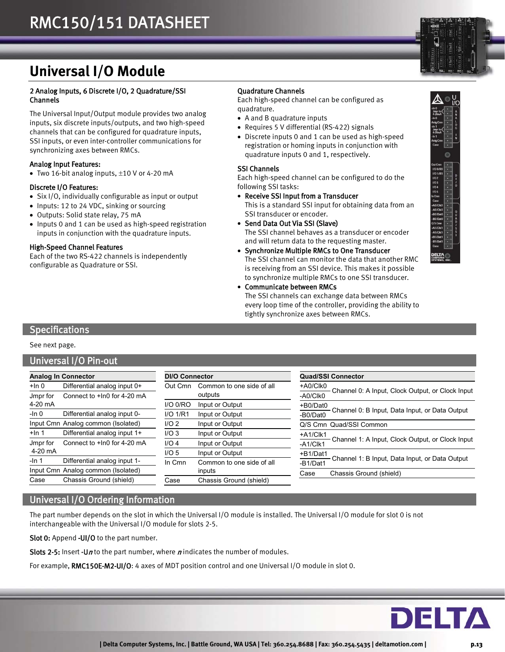

## **Universal I/O Module**

#### 2 Analog Inputs, 6 Discrete I/O, 2 Quadrature/SSI Channels

The Universal Input/Output module provides two analog inputs, six discrete inputs/outputs, and two high-speed channels that can be configured for quadrature inputs, SSI inputs, or even inter-controller communications for synchronizing axes between RMCs.

#### Analog Input Features:

• Two 16-bit analog inputs,  $\pm$ 10 V or 4-20 mA

#### Discrete I/O Features:

- Six I/O, individually configurable as input or output
- Inputs: 12 to 24 VDC, sinking or sourcing
- Outputs: Solid state relay, 75 mA
- Inputs 0 and 1 can be used as high-speed registration inputs in conjunction with the quadrature inputs.

#### High-Speed Channel Features

Each of the two RS-422 channels is independently configurable as Quadrature or SSI.

#### Quadrature Channels

Each high-speed channel can be configured as quadrature.

- A and B quadrature inputs
- Requires 5 V differential (RS-422) signals
- Discrete inputs 0 and 1 can be used as high-speed registration or homing inputs in conjunction with quadrature inputs 0 and 1, respectively.

#### SSI Channels

Each high-speed channel can be configured to do the following SSI tasks:

- Receive SSI Input from a Transducer This is a standard SSI input for obtaining data from an SSI transducer or encoder.
- Send Data Out Via SSI (Slave) The SSI channel behaves as a transducer or encoder and will return data to the requesting master.
- Synchronize Multiple RMCs to One Transducer The SSI channel can monitor the data that another RMC is receiving from an SSI device. This makes it possible to synchronize multiple RMCs to one SSI transducer.
- Communicate between RMCs The SSI channels can exchange data between RMCs every loop time of the controller, providing the ability to tightly synchronize axes between RMCs.



### **Specifications**

See next page.

### Universal I/O Pin-out

|          | <b>Analog In Connector</b>         | <b>DI/O Connector</b> |                           | <b>Quad/SSI Connector</b>                                      |  |
|----------|------------------------------------|-----------------------|---------------------------|----------------------------------------------------------------|--|
| +ln 0    | Differential analog input 0+       | Out Cmn               | Common to one side of all | +A0/Clk0                                                       |  |
| Jmpr for | Connect to +In0 for 4-20 mA        |                       | outputs                   | Channel 0: A Input, Clock Output, or Clock Input<br>-A0/Clk0   |  |
| 4-20 mA  |                                    | $I/O$ $0/RO$          | Input or Output           | +B0/Dat0                                                       |  |
| $-$ In 0 | Differential analog input 0-       | $I/O$ 1/R1            | Input or Output           | Channel 0: B Input, Data Input, or Data Output<br>-B0/Dat0     |  |
|          | Input Cmn Analog common (Isolated) | I/O2                  | Input or Output           | Q/S Cmn Quad/SSI Common                                        |  |
| $+$ In 1 | Differential analog input 1+       | I/O3                  | Input or Output           | +A1/Clk1                                                       |  |
| Jmpr for | Connect to +In0 for 4-20 mA        | $I/O$ 4               | Input or Output           | Channel 1: A Input, Clock Output, or Clock Input<br>$-A1/CIk1$ |  |
| 4-20 mA  |                                    | I/O <sub>5</sub>      | Input or Output           | +B1/Dat1                                                       |  |
| $-$ In 1 | Differential analog input 1-       | In Cmn                | Common to one side of all | Channel 1: B Input, Data Input, or Data Output<br>-B1/Dat1     |  |
|          | Input Cmn Analog common (Isolated) |                       | inputs                    | Chassis Ground (shield)<br>Case                                |  |
| Case     | Chassis Ground (shield)            | Case                  | Chassis Ground (shield)   |                                                                |  |

## Universal I/O Ordering Information

The part number depends on the slot in which the Universal I/O module is installed. The Universal I/O module for slot 0 is not interchangeable with the Universal I/O module for slots 2-5.

Slot 0: Append -UI/O to the part number.

Slots 2-5: Insert -Un to the part number, where n indicates the number of modules.

For example, RMC150E-M2-UI/O: 4 axes of MDT position control and one Universal I/O module in slot 0.

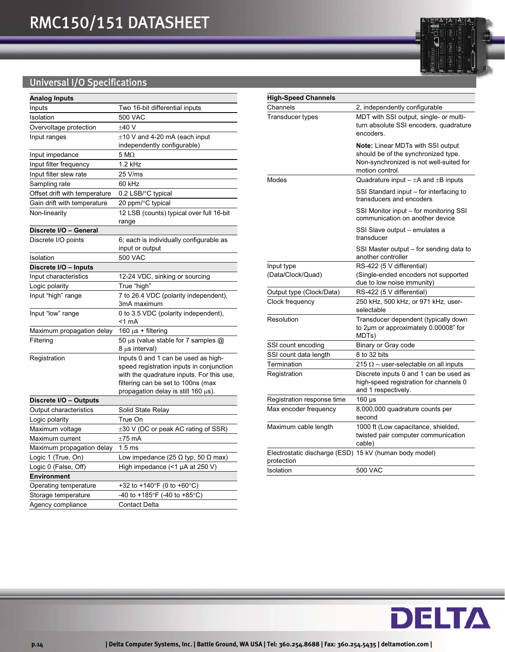## Universal I/O Specifications

| <b>Analog Inputs</b>                   |                                                  |
|----------------------------------------|--------------------------------------------------|
| Inputs                                 | Two 16-bit differential inputs                   |
| Isolation                              | 500 VAC                                          |
| Overvoltage protection                 | ±40V                                             |
| Input ranges                           | $\pm$ 10 V and 4-20 mA (each input               |
|                                        | independently configurable)                      |
| Input impedance                        | $5\ \mathrm{M}\Omega$                            |
| Input filter frequency                 | $1.2$ kHz                                        |
| Input filter slew rate                 | 25 V/ms                                          |
| Sampling rate                          | 60 kHz                                           |
| Offset drift with temperature          | 0.2 LSB/°C typical                               |
| Gain drift with temperature            | 20 ppm/°C typical                                |
| Non-linearity                          | 12 LSB (counts) typical over full 16-bit         |
|                                        | range                                            |
| Discrete I/O – General                 |                                                  |
| Discrete I/O points                    | 6; each is individually configurable as          |
|                                        | input or output                                  |
| Isolation                              | 500 VAC                                          |
| Discrete I/O - Inputs                  |                                                  |
| Input characteristics                  | 12-24 VDC, sinking or sourcing                   |
| Logic polarity                         | True "high"                                      |
| Input "high" range                     | 7 to 26.4 VDC (polarity independent),            |
|                                        | 3mA maximum                                      |
| Input "low" range                      | 0 to 3.5 VDC (polarity independent),<br>$<$ 1 mA |
|                                        | 160 $\mu$ s + filtering                          |
| Maximum propagation delay<br>Filtering | 50 µs (value stable for 7 samples @              |
|                                        | 8 μs interval)                                   |
| Registration                           | Inputs 0 and 1 can be used as high-              |
|                                        | speed registration inputs in conjunction         |
|                                        | with the quadrature inputs. For this use,        |
|                                        | filtering can be set to 100ns (max               |
|                                        | propagation delay is still 160 μs).              |
| Discrete I/O - Outputs                 |                                                  |
| <b>Output characteristics</b>          | Solid State Relay                                |
| Logic polarity                         | True On                                          |
| Maximum voltage                        | $\pm 30$ V (DC or peak AC rating of SSR)         |
| Maximum current                        | $±75$ mA                                         |
| Maximum propagation delay              | 1.5 <sub>ms</sub>                                |
| Logic 1 (True, On)                     | Low impedance (25 $\Omega$ typ, 50 $\Omega$ max) |
| Logic 0 (False, Off)                   | High impedance (<1 µA at 250 V)                  |
| Environment                            |                                                  |
| Operating temperature                  | +32 to +140°F (0 to +60°C)                       |
| Storage temperature                    | -40 to +185°F (-40 to +85°C)                     |
| Agency compliance                      | <b>Contact Delta</b>                             |

| <b>High-Speed Channels</b>                                           |                                                                                                                                        |
|----------------------------------------------------------------------|----------------------------------------------------------------------------------------------------------------------------------------|
| Channels                                                             | 2, independently configurable                                                                                                          |
| Transducer types                                                     | MDT with SSI output, single- or multi-<br>turn absolute SSI encoders, quadrature<br>encoders.                                          |
|                                                                      | Note: Linear MDTs with SSI output<br>should be of the synchronized type.<br>Non-synchronized is not well-suited for<br>motion control. |
| Modes                                                                | Quadrature input $-\pm A$ and $\pm B$ inputs                                                                                           |
|                                                                      | SSI Standard input – for interfacing to<br>transducers and encoders                                                                    |
|                                                                      | SSI Monitor input – for monitoring SSI<br>communication on another device                                                              |
|                                                                      | SSI Slave output - emulates a<br>transducer                                                                                            |
|                                                                      | SSI Master output - for sending data to<br>another controller                                                                          |
| Input type                                                           | RS-422 (5 V differential)                                                                                                              |
| (Data/Clock/Quad)                                                    | (Single-ended encoders not supported<br>due to low noise immunity)                                                                     |
| Output type (Clock/Data)                                             | RS-422 (5 V differential)                                                                                                              |
| Clock frequency                                                      | 250 kHz, 500 kHz, or 971 kHz, user-<br>selectable                                                                                      |
| Resolution                                                           | Transducer dependent (typically down<br>to 2µm or approximately 0.00008" for<br>MDTs)                                                  |
| SSI count encoding                                                   | Binary or Gray code                                                                                                                    |
| SSI count data length                                                | 8 to 32 bits                                                                                                                           |
| Termination                                                          | 215 $\Omega$ – user-selectable on all inputs                                                                                           |
| Registration                                                         | Discrete inputs 0 and 1 can be used as<br>high-speed registration for channels 0<br>and 1 respectively.                                |
| Registration response time                                           | 160 µs                                                                                                                                 |
| Max encoder frequency                                                | 8,000,000 quadrature counts per<br>second                                                                                              |
| Maximum cable length                                                 | 1000 ft (Low capacitance, shielded,<br>twisted pair computer communication<br>cable)                                                   |
| Electrostatic discharge (ESD) 15 kV (human body model)<br>protection |                                                                                                                                        |
| Isolation                                                            | 500 VAC                                                                                                                                |

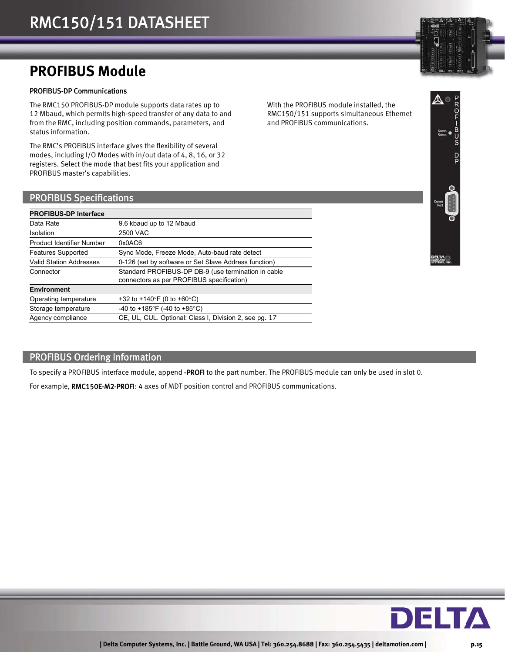## **PROFIBUS Module**

#### PROFIBUS-DP Communications

The RMC150 PROFIBUS-DP module supports data rates up to 12 Mbaud, which permits high-speed transfer of any data to and from the RMC, including position commands, parameters, and status information.

The RMC's PROFIBUS interface gives the flexibility of several modes, including I/O Modes with in/out data of 4, 8, 16, or 32 registers. Select the mode that best fits your application and PROFIBUS master's capabilities.

With the PROFIBUS module installed, the RMC150/151 supports simultaneous Ethernet and PROFIBUS communications.

### PROFIBUS Specifications

| <b>PROFIBUS-DP Interface</b>   |                                                                                                  |
|--------------------------------|--------------------------------------------------------------------------------------------------|
| Data Rate                      | 9.6 kbaud up to 12 Mbaud                                                                         |
| Isolation                      | 2500 VAC                                                                                         |
| Product Identifier Number      | 0x0AC6                                                                                           |
| <b>Features Supported</b>      | Sync Mode, Freeze Mode, Auto-baud rate detect                                                    |
| <b>Valid Station Addresses</b> | 0-126 (set by software or Set Slave Address function)                                            |
| Connector                      | Standard PROFIBUS-DP DB-9 (use termination in cable<br>connectors as per PROFIBUS specification) |
| <b>Environment</b>             |                                                                                                  |
| Operating temperature          | +32 to +140°F (0 to +60°C)                                                                       |
| Storage temperature            | -40 to +185°F (-40 to +85°C)                                                                     |
| Agency compliance              | CE, UL, CUL. Optional: Class I, Division 2, see pg. 17                                           |

## PROFIBUS Ordering Information

To specify a PROFIBUS interface module, append -PROFI to the part number. The PROFIBUS module can only be used in slot 0.

For example, RMC150E-M2-PROFI: 4 axes of MDT position control and PROFIBUS communications.

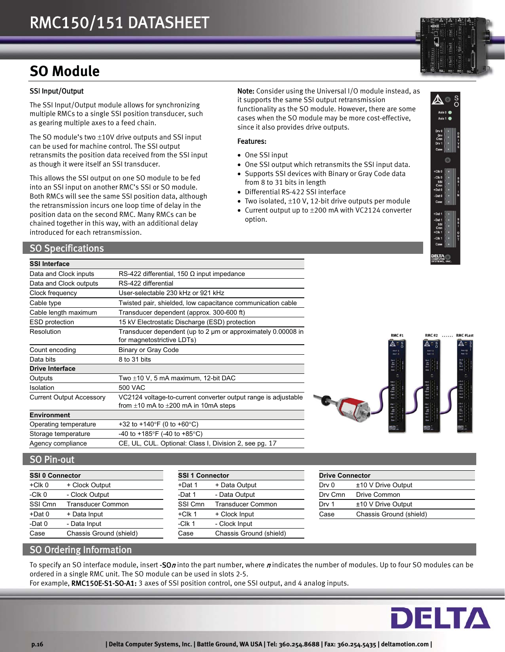## **SO Module**

#### SSI Input/Output

The SSI Input/Output module allows for synchronizing multiple RMCs to a single SSI position transducer, such as gearing multiple axes to a feed chain.

The SO module's two  $\pm 10V$  drive outputs and SSI input can be used for machine control. The SSI output retransmits the position data received from the SSI input as though it were itself an SSI transducer.

This allows the SSI output on one SO module to be fed into an SSI input on another RMC's SSI or SO module. Both RMCs will see the same SSI position data, although the retransmission incurs one loop time of delay in the position data on the second RMC. Many RMCs can be chained together in this way, with an additional delay introduced for each retransmission.

SO Specifications

#### **SSI Interface**

| Data and Clock inputs           | RS-422 differential, 150 $\Omega$ input impedance                                                                |
|---------------------------------|------------------------------------------------------------------------------------------------------------------|
| Data and Clock outputs          | RS-422 differential                                                                                              |
| Clock frequency                 | User-selectable 230 kHz or 921 kHz                                                                               |
| Cable type                      | Twisted pair, shielded, low capacitance communication cable                                                      |
| Cable length maximum            | Transducer dependent (approx. 300-600 ft)                                                                        |
| <b>ESD</b> protection           | 15 kV Electrostatic Discharge (ESD) protection                                                                   |
| Resolution                      | Transducer dependent (up to 2 µm or approximately 0.00008 in<br>for magnetostrictive LDTs)                       |
| Count encoding                  | <b>Binary or Gray Code</b>                                                                                       |
| Data bits                       | 8 to 31 bits                                                                                                     |
| <b>Drive Interface</b>          |                                                                                                                  |
| Outputs                         | Two $\pm$ 10 V, 5 mA maximum, 12-bit DAC                                                                         |
| Isolation                       | 500 VAC                                                                                                          |
| <b>Current Output Accessory</b> | VC2124 voltage-to-current converter output range is adjustable<br>from $\pm 10$ mA to $\pm 200$ mA in 10mA steps |
| <b>Environment</b>              |                                                                                                                  |
| Operating temperature           | +32 to +140°F (0 to +60°C)                                                                                       |
| Storage temperature             | -40 to +185°F (-40 to +85°C)                                                                                     |
| Agency compliance               | CE, UL, CUL. Optional: Class I, Division 2, see pg. 17                                                           |



#### SO Pin-out

| <b>SSI 0 Connector</b> |                          | <b>SSI 1 Connector</b> |                          |  |
|------------------------|--------------------------|------------------------|--------------------------|--|
| $+C$ lk 0              | + Clock Output           | +Dat 1                 | + Data Output            |  |
| $-CIk$ <sub>0</sub>    | - Clock Output           | -Dat 1                 | - Data Output            |  |
| SSI Cmn                | <b>Transducer Common</b> | SSI Cmn                | <b>Transducer Common</b> |  |
| +Dat 0                 | + Data Input             | $+C$ lk 1              | + Clock Input            |  |
| -Dat 0                 | - Data Input             | $-CIk1$                | - Clock Input            |  |
| Case                   | Chassis Ground (shield)  | Case                   | Chassis Ground (shield)  |  |

| SSI 0 Connector |                         | <b>SSI 1 Connector</b> |                          | <b>Drive Connector</b> |                         |
|-----------------|-------------------------|------------------------|--------------------------|------------------------|-------------------------|
| +Clk 0          | + Clock Output          | +Dat 1                 | + Data Output            | Drv 0                  | $±10$ V Drive Output    |
| -Clk 0          | - Clock Output          | -Dat 1                 | - Data Output            | Dry Cmn                | Drive Common            |
| SSI Cmn         | Transducer Common       | SSI Cmn                | <b>Transducer Common</b> | Drv 1                  | $±10$ V Drive Output    |
| +Dat 0          | + Data Input            | $+C$ lk 1              | + Clock Input            | Case                   | Chassis Ground (shield) |
| -Dat 0          | - Data Input            | $-CIk1$                | - Clock Input            |                        |                         |
| Case            | Chassis Ground (shield) | Case                   | Chassis Ground (shield)  |                        |                         |
|                 |                         |                        |                          |                        |                         |

|         | <b>Drive Connector</b>  |  |  |
|---------|-------------------------|--|--|
| Drv 0   | $±10$ V Drive Output    |  |  |
| Dry Cmn | Drive Common            |  |  |
| Drv 1   | $±10$ V Drive Output    |  |  |
| Case    | Chassis Ground (shield) |  |  |
|         |                         |  |  |

## SO Ordering Information

To specify an SO interface module, insert -SOn into the part number, where  $n$  indicates the number of modules. Up to four SO modules can be ordered in a single RMC unit. The SO module can be used in slots 2-5.

For example, RMC150E-S1-SO-A1: 3 axes of SSI position control, one SSI output, and 4 analog inputs.







Note: Consider using the Universal I/O module instead, as

functionality as the SO module. However, there are some cases when the SO module may be more cost-effective,

 One SSI output which retransmits the SSI input data. • Supports SSI devices with Binary or Gray Code data

• Two isolated,  $\pm 10$  V, 12-bit drive outputs per module • Current output up to  $\pm 200$  mA with VC2124 converter

it supports the same SSI output retransmission

since it also provides drive outputs.

from 8 to 31 bits in length Differential RS-422 SSI interface

Features:

One SSI input

option.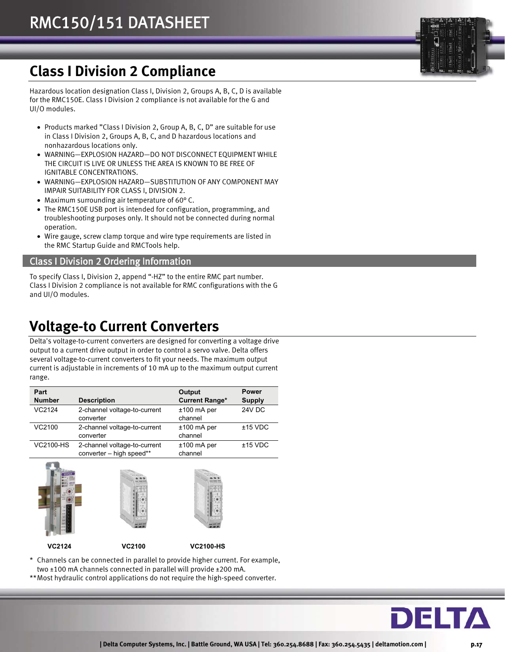## **Class I Division 2 Compliance**

Hazardous location designation Class I, Division 2, Groups A, B, C, D is available for the RMC150E. Class I Division 2 compliance is not available for the G and UI/O modules.

- Products marked "Class I Division 2, Group A, B, C, D" are suitable for use in Class I Division 2, Groups A, B, C, and D hazardous locations and nonhazardous locations only.
- WARNING—EXPLOSION HAZARD—DO NOT DISCONNECT EQUIPMENT WHILE THE CIRCUIT IS LIVE OR UNLESS THE AREA IS KNOWN TO BE FREE OF IGNITABLE CONCENTRATIONS.
- WARNING—EXPLOSION HAZARD—SUBSTITUTION OF ANY COMPONENT MAY IMPAIR SUITABILITY FOR CLASS I, DIVISION 2.
- Maximum surrounding air temperature of 60° C.
- The RMC150E USB port is intended for configuration, programming, and troubleshooting purposes only. It should not be connected during normal operation.
- Wire gauge, screw clamp torque and wire type requirements are listed in the RMC Startup Guide and RMCTools help.

## Class I Division 2 Ordering Information

To specify Class I, Division 2, append "-HZ" to the entire RMC part number. Class I Division 2 compliance is not available for RMC configurations with the G and UI/O modules.

## **Voltage-to Current Converters**

Delta's voltage-to-current converters are designed for converting a voltage drive output to a current drive output in order to control a servo valve. Delta offers several voltage-to-current converters to fit your needs. The maximum output current is adjustable in increments of 10 mA up to the maximum output current range.

| Part<br><b>Number</b> | <b>Description</b>                                       | Output<br><b>Current Range*</b> | <b>Power</b><br><b>Supply</b> |
|-----------------------|----------------------------------------------------------|---------------------------------|-------------------------------|
| VC2124                | 2-channel voltage-to-current<br>converter                | $±100$ mA per<br>channel        | 24V DC                        |
| VC2100                | 2-channel voltage-to-current<br>converter                | $±100$ mA per<br>channel        | $±15$ VDC                     |
| VC2100-HS             | 2-channel voltage-to-current<br>converter - high speed** | $±100$ mA per<br>channel        | $±15$ VDC                     |



\* Channels can be connected in parallel to provide higher current. For example, two ±100 mA channels connected in parallel will provide ±200 mA.

\*\* Most hydraulic control applications do not require the high-speed converter.

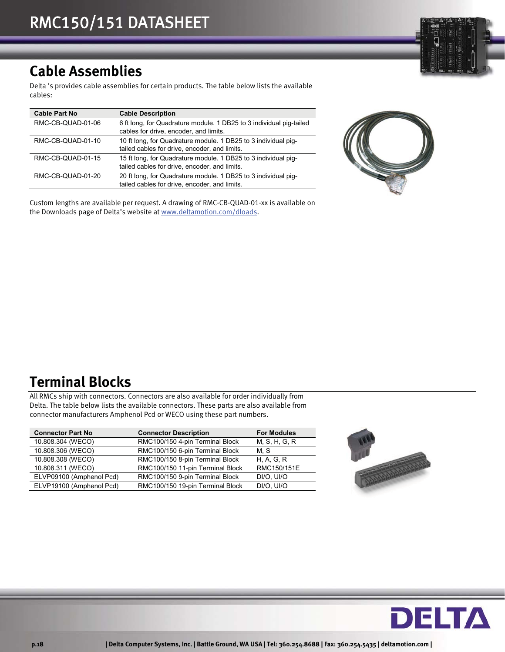## **Cable Assemblies**

Delta 's provides cable assemblies for certain products. The table below lists the available cables:

| <b>Cable Part No</b> | <b>Cable Description</b>                                                                                        |
|----------------------|-----------------------------------------------------------------------------------------------------------------|
| RMC-CB-QUAD-01-06    | 6 ft long, for Quadrature module. 1 DB25 to 3 individual pig-tailed<br>cables for drive, encoder, and limits.   |
| RMC-CB-QUAD-01-10    | 10 ft long, for Quadrature module. 1 DB25 to 3 individual pig-<br>tailed cables for drive, encoder, and limits. |
| RMC-CB-QUAD-01-15    | 15 ft long, for Quadrature module. 1 DB25 to 3 individual pig-<br>tailed cables for drive, encoder, and limits. |
| RMC-CB-QUAD-01-20    | 20 ft long, for Quadrature module. 1 DB25 to 3 individual pig-<br>tailed cables for drive, encoder, and limits. |

Custom lengths are available per request. A drawing of RMC-CB-QUAD-01-xx is available on the Downloads page of Delta's website at www.deltamotion.com/dloads.

## **Terminal Blocks**

All RMCs ship with connectors. Connectors are also available for order individually from Delta. The table below lists the available connectors. These parts are also available from connector manufacturers Amphenol Pcd or WECO using these part numbers.

| <b>Connector Part No</b> | <b>Connector Description</b>     | <b>For Modules</b> |
|--------------------------|----------------------------------|--------------------|
| 10.808.304 (WECO)        | RMC100/150 4-pin Terminal Block  | M, S, H, G, R      |
| 10.808.306 (WECO)        | RMC100/150 6-pin Terminal Block  | M. S               |
| 10.808.308 (WECO)        | RMC100/150 8-pin Terminal Block  | H. A. G. R         |
| 10.808.311 (WECO)        | RMC100/150 11-pin Terminal Block | RMC150/151E        |
| ELVP09100 (Amphenol Pcd) | RMC100/150 9-pin Terminal Block  | DI/O. UI/O         |
| ELVP19100 (Amphenol Pcd) | RMC100/150 19-pin Terminal Block | DI/O. UI/O         |



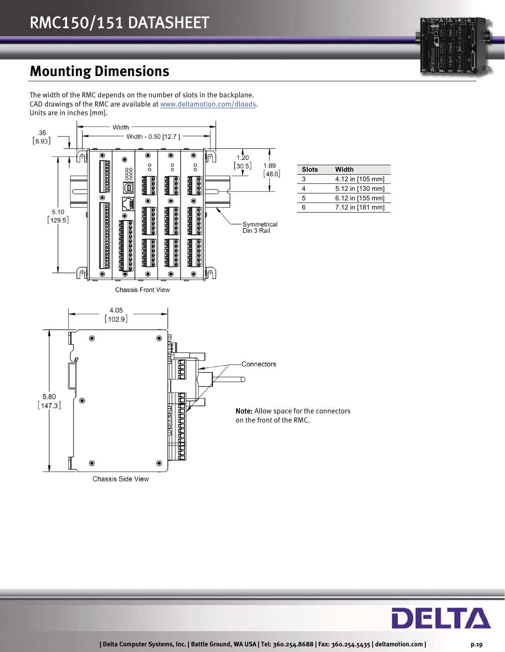## **Mounting Dimensions**

The width of the RMC depends on the number of slots in the backplane. CAD drawings of the RMC are available at www.deltamotion.com/dloads. Units are in inches [mm].